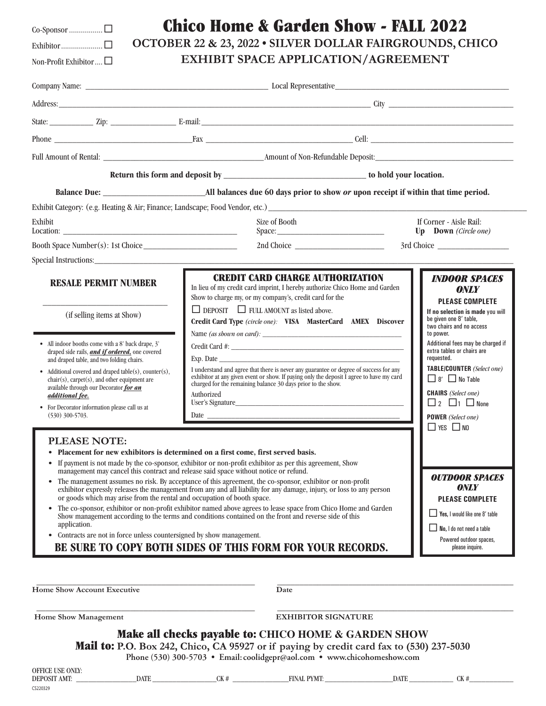|--|--|--|--|--|--|--|--|

Exhibitor.....................¨ Non-Profit Exhibitor  $\Box$ 

CS220329

| <b>Chico Home &amp; Garden Show - FALL 2022</b> |  |
|-------------------------------------------------|--|
|-------------------------------------------------|--|

**OCTOBER 22 & 23, 2022 • SILVER DOLLAR FAIRGROUNDS, CHICO**

**EXHIBIT SPACE APPLICATION/AGREEMENT**

| State: <u>The Zip:</u> Zip: E-mail: E-mail: E-mail: E-mail: E-mail: E-mail: E-mail: E-mail: E-mail: E-mail: E-mail: E-mail: E-mail: E-mail: E-mail: E-mail: E-mail: E-mail: E-mail: E-mail: E-mail: E-mail: E-mail: E-mail: E-mail:                                                                                                                                                                                                                            |                                                                                                                                                                                                                                                                                                                                                                                                                                                                                                                                                                                                                                                                                                                                                                                                                |                            |                                                                                                                                                                                                                                                                                                                                 |  |
|----------------------------------------------------------------------------------------------------------------------------------------------------------------------------------------------------------------------------------------------------------------------------------------------------------------------------------------------------------------------------------------------------------------------------------------------------------------|----------------------------------------------------------------------------------------------------------------------------------------------------------------------------------------------------------------------------------------------------------------------------------------------------------------------------------------------------------------------------------------------------------------------------------------------------------------------------------------------------------------------------------------------------------------------------------------------------------------------------------------------------------------------------------------------------------------------------------------------------------------------------------------------------------------|----------------------------|---------------------------------------------------------------------------------------------------------------------------------------------------------------------------------------------------------------------------------------------------------------------------------------------------------------------------------|--|
|                                                                                                                                                                                                                                                                                                                                                                                                                                                                |                                                                                                                                                                                                                                                                                                                                                                                                                                                                                                                                                                                                                                                                                                                                                                                                                |                            |                                                                                                                                                                                                                                                                                                                                 |  |
| Full Amount of Rental: <b>Figure 2018</b> Amount of Non-Refundable Deposit: <b>Figure 2018</b>                                                                                                                                                                                                                                                                                                                                                                 |                                                                                                                                                                                                                                                                                                                                                                                                                                                                                                                                                                                                                                                                                                                                                                                                                |                            |                                                                                                                                                                                                                                                                                                                                 |  |
|                                                                                                                                                                                                                                                                                                                                                                                                                                                                |                                                                                                                                                                                                                                                                                                                                                                                                                                                                                                                                                                                                                                                                                                                                                                                                                |                            |                                                                                                                                                                                                                                                                                                                                 |  |
|                                                                                                                                                                                                                                                                                                                                                                                                                                                                |                                                                                                                                                                                                                                                                                                                                                                                                                                                                                                                                                                                                                                                                                                                                                                                                                |                            |                                                                                                                                                                                                                                                                                                                                 |  |
|                                                                                                                                                                                                                                                                                                                                                                                                                                                                |                                                                                                                                                                                                                                                                                                                                                                                                                                                                                                                                                                                                                                                                                                                                                                                                                |                            |                                                                                                                                                                                                                                                                                                                                 |  |
| Exhibit                                                                                                                                                                                                                                                                                                                                                                                                                                                        | Size of Booth                                                                                                                                                                                                                                                                                                                                                                                                                                                                                                                                                                                                                                                                                                                                                                                                  |                            | If Corner - Aisle Rail:<br>Up Down (Circle one)                                                                                                                                                                                                                                                                                 |  |
|                                                                                                                                                                                                                                                                                                                                                                                                                                                                |                                                                                                                                                                                                                                                                                                                                                                                                                                                                                                                                                                                                                                                                                                                                                                                                                |                            |                                                                                                                                                                                                                                                                                                                                 |  |
| Special Instructions: 2000 and 2000 and 2000 and 2000 and 2000 and 2000 and 2000 and 2000 and 2000 and 2000 and 2000 and 2000 and 2000 and 2000 and 2000 and 2000 and 2000 and 2000 and 2000 and 2000 and 2000 and 2000 and 20                                                                                                                                                                                                                                 |                                                                                                                                                                                                                                                                                                                                                                                                                                                                                                                                                                                                                                                                                                                                                                                                                |                            | 3rd Choice                                                                                                                                                                                                                                                                                                                      |  |
| <b>RESALE PERMIT NUMBER</b>                                                                                                                                                                                                                                                                                                                                                                                                                                    | <b>CREDIT CARD CHARGE AUTHORIZATION</b><br>In lieu of my credit card imprint, I hereby authorize Chico Home and Garden<br>Show to charge my, or my company's, credit card for the<br>$\Box$ DEPOSIT $\Box$ FULL AMOUNT as listed above.                                                                                                                                                                                                                                                                                                                                                                                                                                                                                                                                                                        |                            | <b>INDOOR SPACES</b><br><b>ONLY</b><br><b>PLEASE COMPLETE</b><br>If no selection is made you will                                                                                                                                                                                                                               |  |
| (if selling items at Show)<br>• All indoor booths come with a 8' back drape, 3'<br>draped side rails, <i>and if ordered</i> , one covered<br>and draped table, and two folding chairs.<br>Additional covered and draped table(s), counter(s),<br>$chair(s)$ , carpet $(s)$ , and other equipment are<br>available through our Decorator for an<br>additional fee.<br>• For Decorator information please call us at<br>$(530)$ 300-5703.<br><b>PLEASE NOTE:</b> | Credit Card Type (circle one): VISA MasterCard AMEX Discover<br>Exp. Date<br>I understand and agree that there is never any guarantee or degree of success for any<br>exhibitor at any given event or show. If paying only the deposit I agree to have my card<br>charged for the remaining balance 30 days prior to the show.<br>Authorized<br>Date $\frac{1}{\sqrt{1-\frac{1}{2}}\sqrt{1-\frac{1}{2}}\sqrt{1-\frac{1}{2}}\sqrt{1-\frac{1}{2}}\sqrt{1-\frac{1}{2}}\sqrt{1-\frac{1}{2}}\sqrt{1-\frac{1}{2}}\sqrt{1-\frac{1}{2}}\sqrt{1-\frac{1}{2}}\sqrt{1-\frac{1}{2}}\sqrt{1-\frac{1}{2}}\sqrt{1-\frac{1}{2}}\sqrt{1-\frac{1}{2}}\sqrt{1-\frac{1}{2}}\sqrt{1-\frac{1}{2}}\sqrt{1-\frac{1}{2}}\sqrt{1-\frac{1}{2}}\sqrt{1-\frac{1}{2}}\sqrt{1-\frac{1}{2}}\$                                                  |                            | be given one 8' table,<br>two chairs and no access<br>to power.<br>Additional fees may be charged if<br>extra tables or chairs are<br>requested.<br>TABLE/COUNTER (Select one)<br>$\Box$ 8' $\Box$ No Table<br><b>CHAIRS</b> (Select one)<br>$\Box$ 2 $\Box$ 1 $\Box$ None<br><b>POWER</b> (Select one)<br>$\Box$ yes $\Box$ no |  |
| $\bullet$<br>or goods which may arise from the rental and occupation of booth space.<br>application.<br>Contracts are not in force unless countersigned by show management.                                                                                                                                                                                                                                                                                    | Placement for new exhibitors is determined on a first come, first served basis.<br>If payment is not made by the co-sponsor, exhibitor or non-profit exhibitor as per this agreement, Show<br>management may cancel this contract and release said space without notice or refund.<br>The management assumes no risk. By acceptance of this agreement, the co-sponsor, exhibitor or non-profit<br>exhibitor expressly releases the management from any and all liability for any damage, injury, or loss to any person<br>The co-sponsor, exhibitor or non-profit exhibitor named above agrees to lease space from Chico Home and Garden<br>Show management according to the terms and conditions contained on the front and reverse side of this<br>BE SURE TO COPY BOTH SIDES OF THIS FORM FOR YOUR RECORDS. |                            | <b>OUTDOOR SPACES</b><br><b>ONLY</b><br><b>PLEASE COMPLETE</b><br>$\Box$ Yes. I would like one 8' table<br>$\Box$ No, I do not need a table<br>Powered outdoor spaces,<br>please inquire.                                                                                                                                       |  |
| <b>Home Show Account Executive</b>                                                                                                                                                                                                                                                                                                                                                                                                                             | Date                                                                                                                                                                                                                                                                                                                                                                                                                                                                                                                                                                                                                                                                                                                                                                                                           |                            |                                                                                                                                                                                                                                                                                                                                 |  |
| Home Show Management                                                                                                                                                                                                                                                                                                                                                                                                                                           |                                                                                                                                                                                                                                                                                                                                                                                                                                                                                                                                                                                                                                                                                                                                                                                                                | <b>EXHIBITOR SIGNATURE</b> |                                                                                                                                                                                                                                                                                                                                 |  |
| OFFICE USE ONLY:                                                                                                                                                                                                                                                                                                                                                                                                                                               | Make all checks payable to: CHICO HOME & GARDEN SHOW<br><b>Mail to:</b> P.O. Box 242, Chico, CA 95927 or if paying by credit card fax to (530) 237-5030<br>Phone (530) 300-5703 · Email: coolidgepr@aol.com · www.chicohomeshow.com                                                                                                                                                                                                                                                                                                                                                                                                                                                                                                                                                                            |                            |                                                                                                                                                                                                                                                                                                                                 |  |
| <b>DATE</b><br><b>DEPOSIT AMT:</b>                                                                                                                                                                                                                                                                                                                                                                                                                             | CK#<br><b>FINAL PYMT:</b>                                                                                                                                                                                                                                                                                                                                                                                                                                                                                                                                                                                                                                                                                                                                                                                      | DATE                       | CK#                                                                                                                                                                                                                                                                                                                             |  |